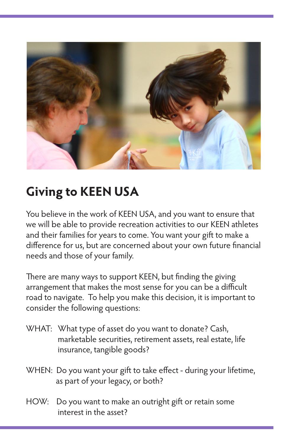

## **Giving to KEEN USA**

You believe in the work of KEEN USA, and you want to ensure that we will be able to provide recreation activities to our KEEN athletes and their families for years to come. You want your gift to make a difference for us, but are concerned about your own future financial needs and those of your family.

There are many ways to support KEEN, but finding the giving arrangement that makes the most sense for you can be a difficult road to navigate. To help you make this decision, it is important to consider the following questions:

- WHAT: What type of asset do you want to donate? Cash, marketable securities, retirement assets, real estate, life insurance, tangible goods?
- WHEN: Do you want your gift to take effect during your lifetime, as part of your legacy, or both?
- HOW: Do you want to make an outright gift or retain some interest in the asset?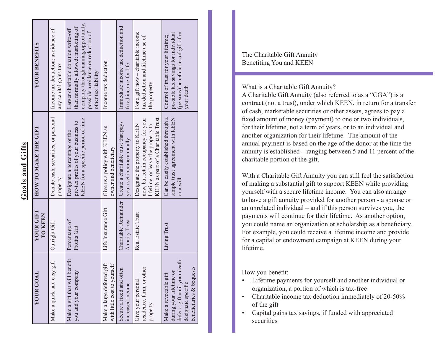| ۱            |  |
|--------------|--|
|              |  |
|              |  |
| l.           |  |
|              |  |
|              |  |
| $\subset$    |  |
| $\mathbf{u}$ |  |
|              |  |
| $\vec{z}$    |  |
|              |  |
|              |  |
| Ç            |  |
|              |  |
| œ            |  |
|              |  |
| Ξ            |  |
|              |  |
|              |  |
|              |  |

 $\mathbf{r}$ 

| <b>YOUR GOAL</b>                                                                                                                     | YOUR GIFT<br><b>TO KEEN</b>                  | HOW TO MAKE THE GIFT                                                                                                                             | <b>YOUR BENEFITS</b>                                                                                                                                                            |
|--------------------------------------------------------------------------------------------------------------------------------------|----------------------------------------------|--------------------------------------------------------------------------------------------------------------------------------------------------|---------------------------------------------------------------------------------------------------------------------------------------------------------------------------------|
| gift<br>Make a quick and easy                                                                                                        | Outright Gift                                | Donate cash, securities, or personal<br>property                                                                                                 | Income tax deduction; avoidance of<br>any capital gains tax                                                                                                                     |
| Make a gift that will benefit<br>you and your company                                                                                | Percentage of<br>Profits Gift                | KEEN for a specific period of time<br>pre-tax profits of your business to<br>Designate a percentage of the                                       | company through naming opportunity,<br>than normally allowed; marketing of<br>Larger charitable donation write-off<br>possible avoidance or reduction of<br>other tax liability |
| $\lim_{h \to 0}$<br>with little cost to yourself<br>Make a large deferred                                                            | Life Insurance Gift                          | Give us a policy with KEEN as<br>owner and beneficiary                                                                                           | Income tax deduction                                                                                                                                                            |
| Secure a fixed and often<br>increased income                                                                                         | Charitable Remainder<br><b>Annuity Trust</b> | Create a charitable trust that pays<br>you a set income annually                                                                                 | Immediate income tax deduction and<br>fixed income for life                                                                                                                     |
| residence, farm, or other<br>Give your personal<br>property                                                                          | Real Estate Trust                            | KEEN as part of a Charitable Trust<br>now, but retain occupancy for your<br>Designate the property to KEEN<br>lifetime; or leave the property to | For a gift now - charitable income<br>tax deduction and lifetime use of<br>the property                                                                                         |
| defer a gift until your death;<br>beneficiaries & bequests<br>during your lifetime or<br>Make a revocable gift<br>designate specific | Living Trust                                 | Can be easily established through a<br>simple trust agreement with KEEN<br>or a will                                                             | (persons) beneficiaries of gift after<br>possible tax savings for individual<br>Control of trust for your lifetime;<br>your death                                               |

The Charitable Gift Annuity Benefiting You and KEEN

## What is a Charitable Gift Annuity?

A Charitable Gift Annuity (also referred to as a "CGA") is a contract (not a trust), under which KEEN, in return for a transfer of cash, marketable securities or other assets, agrees to pay a fixed amount of money (payment) to one or two individuals, for their lifetime, not a term of years, or to an individual and another organization for their lifetime. The amount of the annual payment is based on the age of the donor at the time the annuity is established – ranging between 5 and 11 percent of the charitable portion of the gift.

With a Charitable Gift Annuity you can still feel the satisfaction of making a substantial gift to support KEEN while providing yourself with a secure lifetime income. You can also arrange to have a gift annuity provided for another person - a spouse or an unrelated individual – and if this person survives you, the payments will continue for their lifetime. As another option, you could name an organization or scholarship as a beneficiary. For example, you could receive a lifetime income and provide for a capital or endowment campaign at KEEN during your lifetime.

How you benefit:

- Lifetime payments for yourself and another individual or organization, a portion of which is tax-free
- Charitable income tax deduction immediately of 20-50% of the gift
- Capital gains tax savings, if funded with appreciated securities